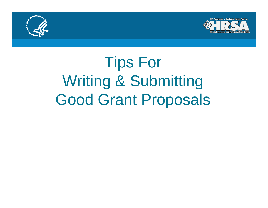



# Tips For Writing & Submitting Good Grant Proposals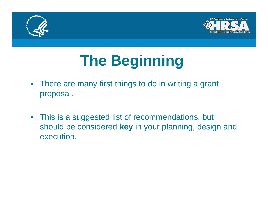



# **The Beginning**

- There are many first things to do in writing a grant proposal.
- This is a suggested list of recommendations, but should be considered **key** in your planning, design and execution.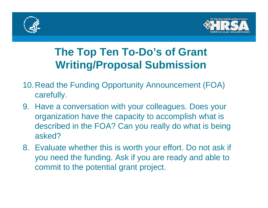



# **The Top Ten To-Do's of Grant Writing/Proposal Submission**

- 10.Read the Funding Opportunity Announcement (FOA) carefully.
- 9. Have a conversation with your colleagues. Does your organization have the capacity to accomplish what is described in the FOA? Can you really do what is being asked?
- 8. Evaluate whether this is worth your effort. Do not ask if you need the funding. Ask if you are ready and able to commit to the potential grant project.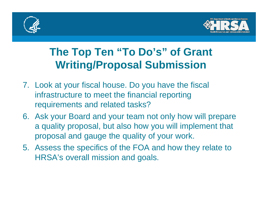



# **The Top Ten "To Do's" of Grant Writing/Proposal Submission**

- 7. Look at your fiscal house. Do you have the fiscal infrastructure to meet the financial reporting requirements and related tasks?
- 6. Ask your Board and your team not only how will prepare a quality proposal, but also how you will implement that proposal and gauge the quality of your work.
- 5. Assess the specifics of the FOA and how they relate to HRSA's overall mission and goals.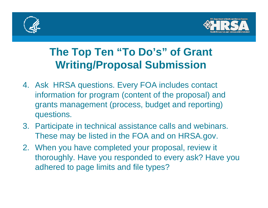



# **The Top Ten "To Do's" of Grant Writing/Proposal Submission**

- 4. Ask HRSA questions. Every FOA includes contact information for program (content of the proposal) and grants management (process, budget and reporting) questions.
- 3. Participate in technical assistance calls and webinars. These may be listed in the FOA and on HRSA.gov.
- 2. When you have completed your proposal, review it thoroughly. Have you responded to every ask? Have you adhered to page limits and file types?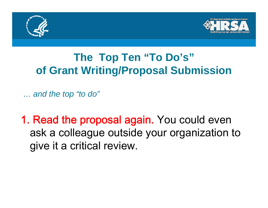



# **The Top Ten "To Do's" of Grant Writing/Proposal Submission**

… *and the top "to do "*

1. Read the proposal again. You could even ask a colleague outside your organization to give it a critical review.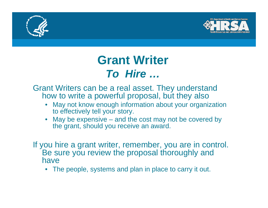



# **Grant Writer** *To Hire …*

Grant Writers can be a real asset. They understand how to write a powerful proposal, but they also

- • May not know enough information about your organization to effectively tell your story.
- •May be expensive – and the cost may not be covered by the grant, should you receive an award.
- If you hire a grant writer, remember, you are in control. Be sure you review the proposal thoroughly and have
	- $\bullet$  The people, systems and plan in place to carry it out.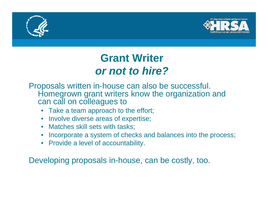



# **Grant Writer** *or not to hire?*

Proposals written in-house can also be successful. Homegrown grant writers know the organization and can call on colleagues to

- Take a team approach to the effort;
- Involve diverse areas of expertise;
- Matches skill sets with tasks;
- Incorporate a system of checks and balances into the process;
- Provide a level of accountability.

Developing proposals in-house, can be costly, too.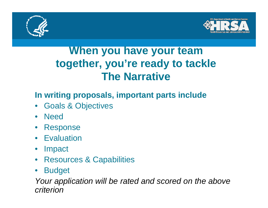



# **When you have your team together you together, re' ready to tackle to The Narrative**

### **In writing proposals, important parts include**

- $\bullet$ Goals & Objectives
- $\bullet$ Need
- •Response
- Evaluation
- $\bullet$ Impact
- $\bullet$ Resources & Capabilities
- •Budget

*Your application will be rated and scored on the above criterion*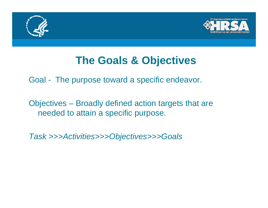



# **The Goals & Objectives**

Goal - The purpose toward a specific endeavor.

Objectives – Broadly defined action targets that are needed to attain a specific purpose.

*Task >>>Activities>>>Objectives>>>Goals*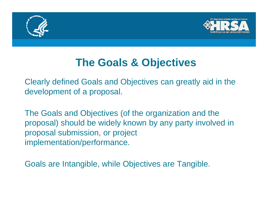



# **The Goals & Objectives Goals**

Clearly defined Goals and Objectives can greatly aid in the development of a proposal.

The Goals and Objectives (of the organization and the proposal) should be widely known by any party involved in proposal submission, or project implementation/performance.

Goals are Intangible, while Objectives are Tangible.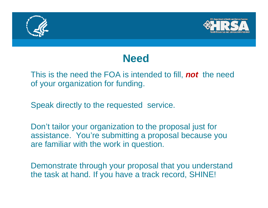



## **Need**

#### This is the need the FOA is intended to fill, *not* the need of your organization for funding.

Speak directly to the requested service.

Don't tailor your organization to the proposal just for assistance. You're submitting a proposal because you are familiar with the work in question.

Demonstrate through your proposal that you understand the task at hand. If you have a track record, SHINE!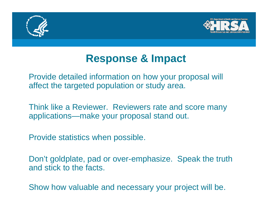



# **Response & Impact**

Provide detailed information on how your proposal will affect the targeted population or study area.

Think like a Reviewer. Reviewers rate and score many applications—make your proposal stand out.

Provide statistics when possible.

Don't goldplate, pad or over-emphasize. Speak the truth and stick to the facts.

Show how valuable and necessary your project will be.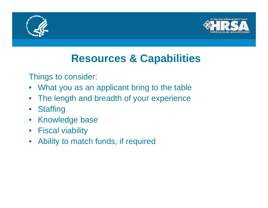



# **Resources & Capabilities**

Things to consider:

- •What you as an applicant bring to the table
- $\bullet$ The length and breadth of your experience
- $\bullet$ **Staffing**
- Knowledge base
- Fiscal viability
- $\bullet$ Ability to match funds, if required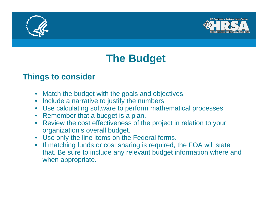



# **The Budget**

#### **Things to consider**

- Match the budget with the goals and objectives.
- Include a narrative to justify the numbers
- Use calculating software to perform mathematical processes
- Remember that a budget is a plan.
- $\bullet$  Review the cost effectiveness of the project in relation to your organization's overall budget.
- Use only the line items on the Federal forms.
- If matching funds or cost sharing is required, the FOA will state that. Be sure to include any relevant budget information where and when appropriate.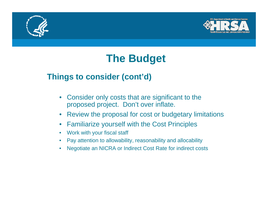



# **The Budget**

### **Things to consider (cont'd)**

- $\bullet$  Consider only costs that are significant to the proposed project. Don't over inflate.
- $\bullet$ Review the proposal for cost or budgetary limitations
- $\bullet$ Familiarize yourself with the Cost Principles
- $\bullet$ Work with your fiscal staff
- $\bullet$ Pay attention to allowability, reasonability and allocability
- $\bullet$ Negotiate an NICRA or Indirect Cost Rate for indirect costs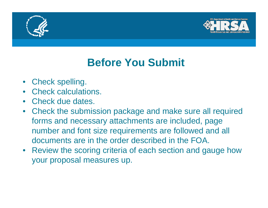



# **Before You Submit**

- Check spelling.
- Check calculations.
- Check due dates.
- Check the submission package and make sure all required forms and necessary attachments are included, page number and font size requirements are followed and all documents are in the order described in the FOA.
- Review the scoring criteria of each section and gauge how your proposal measures up.